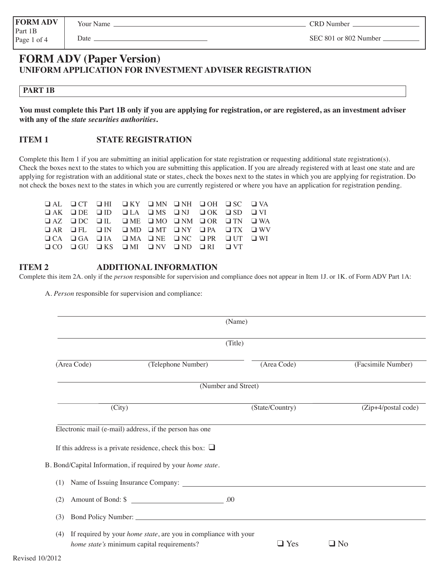| <b>FORM ADV</b> | Your Name | <b>CRD</b> Number     |
|-----------------|-----------|-----------------------|
| Part 1B         |           |                       |
| Page 1 of 4     | Date      | SEC 801 or 802 Number |

## **FORM ADV (Paper Version) UNIFORM APPLICATION FOR INVESTMENT ADVISER REGISTRATION**

#### **PART 1B**

**You must complete this Part 1B only if you are applying for registration, or are registered, as an investment adviser with any of the** *state securities authorities***.**

#### **ITEM 1 STATE REGISTRATION**

Complete this Item 1 if you are submitting an initial application for state registration or requesting additional state registration(s). Check the boxes next to the states to which you are submitting this application. If you are already registered with at least one state and are applying for registration with an additional state or states, check the boxes next to the states in which you are applying for registration. Do not check the boxes next to the states in which you are currently registered or where you have an application for registration pending.

|  |  |  |  | QAL QCT QHI QKY QMN QNH QOH QSC QVA<br>$QAK$ $QDE$ $QID$ $QLA$ $QMS$ $QNI$ $QOK$ $QSD$ $QVI$<br>$\Box$ AR $\Box$ FL $\Box$ IN $\Box$ MD $\Box$ MT $\Box$ NY $\Box$ PA $\Box$ TX $\Box$ WV<br>OCA OGA OJA OMA ONE ONC OPROUT OWI<br>OCO OGU OKS OMI ONV OND ORI OVT |
|--|--|--|--|--------------------------------------------------------------------------------------------------------------------------------------------------------------------------------------------------------------------------------------------------------------------|

#### **ITEM 2 ADDITIONAL INFORMATION**

Complete this item 2A. only if the *person* responsible for supervision and compliance does not appear in Item 1J. or 1K. of Form ADV Part 1A:

A. *Person* responsible for supervision and compliance:

|             |                                                                                                                                                                                                                                | (Name)              |                     |
|-------------|--------------------------------------------------------------------------------------------------------------------------------------------------------------------------------------------------------------------------------|---------------------|---------------------|
|             |                                                                                                                                                                                                                                | (Title)             |                     |
| (Area Code) | (Telephone Number)                                                                                                                                                                                                             | (Area Code)         | (Facsimile Number)  |
|             |                                                                                                                                                                                                                                | (Number and Street) |                     |
| (City)      |                                                                                                                                                                                                                                | (State/Country)     | (Zip+4/postal code) |
|             | Electronic mail (e-mail) address, if the person has one                                                                                                                                                                        |                     |                     |
|             | If this address is a private residence, check this box: $\Box$                                                                                                                                                                 |                     |                     |
|             | B. Bond/Capital Information, if required by your home state.                                                                                                                                                                   |                     |                     |
| (1)         | Name of Issuing Insurance Company: Letter and the state of the state of the state of the state of the state of the state of the state of the state of the state of the state of the state of the state of the state of the sta |                     |                     |
| (2)         |                                                                                                                                                                                                                                |                     |                     |
| (3)         | Bond Policy Number: 2008 Communication of the Communication of the Communication of the Communication of the Communication of the Communication of the Communication of the Communication of the Communication of the Communic |                     |                     |
|             | (4) If required by your <i>home state</i> , are you in compliance with your<br>home state's minimum capital requirements?                                                                                                      | $\Box$ Yes          | $\Box$ No           |
| 1.10/0010   |                                                                                                                                                                                                                                |                     |                     |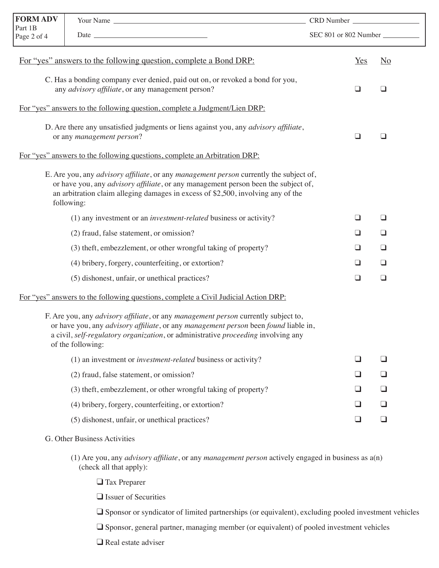| <b>FORM ADV</b>        | Your Name                                                                                                                                                                                                                                                                                                                |                       |                          |
|------------------------|--------------------------------------------------------------------------------------------------------------------------------------------------------------------------------------------------------------------------------------------------------------------------------------------------------------------------|-----------------------|--------------------------|
| Part 1B<br>Page 2 of 4 |                                                                                                                                                                                                                                                                                                                          | SEC 801 or 802 Number |                          |
|                        | For "yes" answers to the following question, complete a Bond DRP:                                                                                                                                                                                                                                                        | Yes                   | $\overline{\text{No}}$   |
|                        | C. Has a bonding company ever denied, paid out on, or revoked a bond for you,<br>any <i>advisory affiliate</i> , or any management person?                                                                                                                                                                               | ❏                     | $\Box$                   |
|                        | For "yes" answers to the following question, complete a Judgment/Lien DRP:                                                                                                                                                                                                                                               |                       |                          |
|                        | D. Are there any unsatisfied judgments or liens against you, any <i>advisory affiliate</i> ,<br>or any management person?                                                                                                                                                                                                | □                     | $\Box$                   |
|                        | For "yes" answers to the following questions, complete an Arbitration DRP:                                                                                                                                                                                                                                               |                       |                          |
|                        | E. Are you, any <i>advisory affiliate</i> , or any <i>management person</i> currently the subject of,<br>or have you, any <i>advisory affiliate</i> , or any management person been the subject of,<br>an arbitration claim alleging damages in excess of \$2,500, involving any of the<br>following:                    |                       |                          |
|                        | (1) any investment or an <i>investment-related</i> business or activity?                                                                                                                                                                                                                                                 | ப                     | ❏                        |
|                        | (2) fraud, false statement, or omission?                                                                                                                                                                                                                                                                                 | ❏                     | $\Box$                   |
|                        | (3) theft, embezzlement, or other wrongful taking of property?                                                                                                                                                                                                                                                           | ப                     | $\Box$                   |
|                        | (4) bribery, forgery, counterfeiting, or extortion?                                                                                                                                                                                                                                                                      | ❏                     | $\Box$                   |
|                        | (5) dishonest, unfair, or unethical practices?                                                                                                                                                                                                                                                                           | ❏                     | $\Box$                   |
|                        | For "yes" answers to the following questions, complete a Civil Judicial Action DRP:                                                                                                                                                                                                                                      |                       |                          |
|                        | F. Are you, any <i>advisory affiliate</i> , or any <i>management person</i> currently subject to,<br>or have you, any <i>advisory affiliate</i> , or any <i>management person</i> been <i>found</i> liable in,<br>a civil, self-regulatory organization, or administrative proceeding involving any<br>of the following: |                       |                          |
|                        | (1) an investment or <i>investment-related</i> business or activity?                                                                                                                                                                                                                                                     |                       | $\overline{\phantom{a}}$ |
|                        | (2) fraud, false statement, or omission?                                                                                                                                                                                                                                                                                 | ப                     | ப                        |
|                        | (3) theft, embezzlement, or other wrongful taking of property?                                                                                                                                                                                                                                                           |                       | ப                        |
|                        | (4) bribery, forgery, counterfeiting, or extortion?                                                                                                                                                                                                                                                                      | ப                     | ❏                        |
|                        | (5) dishonest, unfair, or unethical practices?                                                                                                                                                                                                                                                                           | ப                     | $\Box$                   |

- G. Other Business Activities
	- (1) Are you, any *advisory affiliate*, or any *management person* actively engaged in business as a(n) (check all that apply):
		- ❑ Tax Preparer
		- ❑ Issuer of Securities
		- ❑ Sponsor or syndicator of limited partnerships (or equivalent), excluding pooled investment vehicles
		- ❑ Sponsor, general partner, managing member (or equivalent) of pooled investment vehicles
		- ❑ Real estate adviser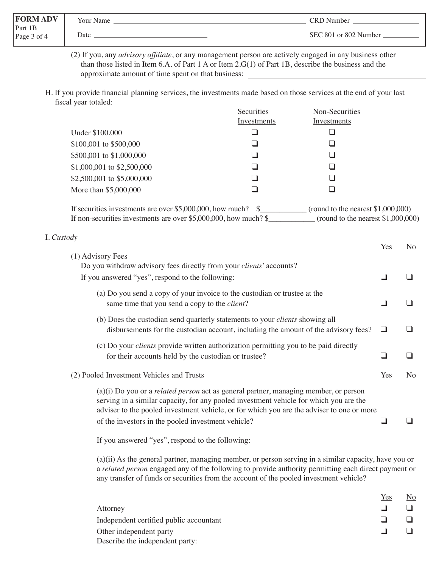| <b>FORM ADV</b>        | Your Name | <b>CRD</b> Number     |
|------------------------|-----------|-----------------------|
| Part 1B<br>Page 3 of 4 | Date      | SEC 801 or 802 Number |

- (2) If you, any *advisory affiliate*, or any management person are actively engaged in any business other than those listed in Item 6.A. of Part 1 A or Item 2.G(1) of Part 1B, describe the business and the approximate amount of time spent on that business:
- H. If you provide financial planning services, the investments made based on those services at the end of your last fiscal year totaled:

|                            | Securities  | Non-Securities |
|----------------------------|-------------|----------------|
|                            | Investments | Investments    |
| Under \$100,000            |             |                |
| \$100,001 to \$500,000     |             |                |
| \$500,001 to \$1,000,000   |             |                |
| \$1,000,001 to \$2,500,000 | $\Box$      |                |
| \$2,500,001 to \$5,000,000 | ⊔           |                |
| More than \$5,000,000      |             |                |
|                            |             |                |

 If securities investments are over \$5,000,000, how much? \$\_\_\_\_\_\_\_\_\_\_\_\_ (round to the nearest \$1,000,000) If non-securities investments are over \$5,000,000, how much? \$\_\_\_\_\_\_\_\_\_\_\_\_ (round to the nearest \$1,000,000)

#### I. *Custody*

|                                                                                                                                                                                                                                                                                      | Yes   | $\underline{\mathrm{No}}$ |
|--------------------------------------------------------------------------------------------------------------------------------------------------------------------------------------------------------------------------------------------------------------------------------------|-------|---------------------------|
| (1) Advisory Fees<br>Do you withdraw advisory fees directly from your <i>clients'</i> accounts?<br>If you answered "yes", respond to the following:                                                                                                                                  |       |                           |
| (a) Do you send a copy of your invoice to the custodian or trustee at the<br>same time that you send a copy to the <i>client</i> ?                                                                                                                                                   |       |                           |
| (b) Does the custodian send quarterly statements to your <i>clients</i> showing all<br>disbursements for the custodian account, including the amount of the advisory fees?                                                                                                           |       |                           |
| (c) Do your <i>clients</i> provide written authorization permitting you to be paid directly<br>for their accounts held by the custodian or trustee?                                                                                                                                  |       |                           |
| (2) Pooled Investment Vehicles and Trusts                                                                                                                                                                                                                                            | $Yes$ | N <sub>o</sub>            |
| $(a)(i)$ Do you or a <i>related person</i> act as general partner, managing member, or person<br>serving in a similar capacity, for any pooled investment vehicle for which you are the<br>adviser to the pooled investment vehicle, or for which you are the adviser to one or more |       |                           |
| of the investors in the pooled investment vehicle?                                                                                                                                                                                                                                   |       |                           |
|                                                                                                                                                                                                                                                                                      |       |                           |

If you answered "yes", respond to the following:

 (a)(ii) As the general partner, managing member, or person serving in a similar capacity, have you or a *related person* engaged any of the following to provide authority permitting each direct payment or any transfer of funds or securities from the account of the pooled investment vehicle?

|                                         | Yes | No |
|-----------------------------------------|-----|----|
| Attorney                                |     |    |
| Independent certified public accountant |     |    |
| Other independent party                 |     |    |
| Describe the independent party:         |     |    |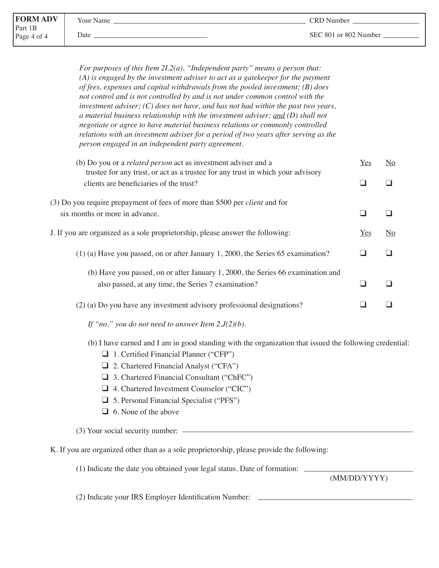*For purposes of this Item 2I.2(a), "Independent party" means a person that: (A) is engaged by the investment adviser to act as a gatekeeper for the payment of fees, expenses and capital withdrawals from the pooled investment; (B) does not control and is not controlled by and is not under common control with the investment adviser; (C) does not have, and has not had within the past two years, a material business relationship with the investment adviser; and (D) shall not negotiate or agree to have material business relations or commonly controlled relations with an investment adviser for a period of two years after serving as the person engaged in an independent party agreement.*

| (b) Do you or a <i>related person</i> act as investment adviser and a<br>trustee for any trust, or act as a trustee for any trust in which your advisory | Yes | No.            |
|----------------------------------------------------------------------------------------------------------------------------------------------------------|-----|----------------|
| clients are beneficiaries of the trust?                                                                                                                  |     |                |
| (3) Do you require prepayment of fees of more than \$500 per <i>client</i> and for                                                                       |     |                |
| six months or more in advance.                                                                                                                           |     |                |
| J. If you are organized as a sole proprietorship, please answer the following:                                                                           | Yes | N <sub>o</sub> |
| $(1)$ (a) Have you passed, on or after January 1, 2000, the Series 65 examination?                                                                       |     |                |
| (b) Have you passed, on or after January 1, 2000, the Series 66 examination and                                                                          |     |                |
| also passed, at any time, the Series 7 examination?                                                                                                      |     |                |
| (2) (a) Do you have any investment advisory professional designations?                                                                                   |     |                |

 *If "no," you do not need to answer Item 2.J(2)(b).*

(b) I have earned and I am in good standing with the organization that issued the following credential:

- ❑ 1. Certified Financial Planner ("CFP")
- ❑ 2. Chartered Financial Analyst ("CFA")
- ❑ 3. Chartered Financial Consultant ("ChFC")
- ❑ 4. Chartered Investment Counselor ("CIC")
- ❑ 5. Personal Financial Specialist ("PFS")
- ❑ 6. None of the above

(3) Your social security number:

K. If you are organized other than as a sole proprietorship, please provide the following:

(1) Indicate the date you obtained your legal status. Date of formation:

(MM/DD/YYYY)

 (2) Indicate your IRS Employer Identification Number: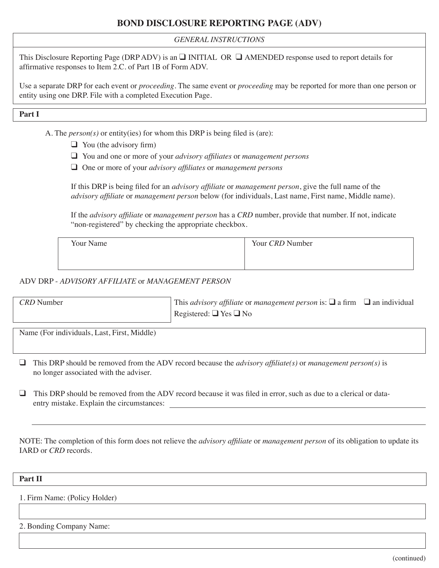### **BOND DISCLOSURE REPORTING PAGE (ADV)**

#### *GENERAL INSTRUCTIONS*

This Disclosure Reporting Page (DRP ADV) is an  $\Box$  INITIAL OR  $\Box$  AMENDED response used to report details for affirmative responses to Item 2.C. of Part 1B of Form ADV.

Use a separate DRP for each event or *proceeding*. The same event or *proceeding* may be reported for more than one person or entity using one DRP. File with a completed Execution Page.

#### **Part I**

- A. The *person(s)* or entity(ies) for whom this DRP is being filed is (are):
	- $\Box$  You (the advisory firm)
	- ❑ You and one or more of your *advisory affiliates* or *management persons*
	- ❑ One or more of your *advisory affiliates* or *management persons*

 If this DRP is being filed for an *advisory affiliate* or *management person*, give the full name of the *advisory affiliate* or *management person* below (for individuals, Last name, First name, Middle name).

 If the *advisory affiliate* or *management person* has a *CRD* number, provide that number. If not, indicate "non-registered" by checking the appropriate checkbox.

| Your Name | Your CRD Number |
|-----------|-----------------|
|           |                 |
|           |                 |

#### ADV DRP - *ADVISORY AFFILIATE* or *MANAGEMENT PERSON*

| <i>CRD</i> Number | This <i>advisory affiliate</i> or <i>management person</i> is: $\Box$ a firm $\Box$ an individual |  |
|-------------------|---------------------------------------------------------------------------------------------------|--|
|                   | Registered: $\Box$ Yes $\Box$ No                                                                  |  |

Name (For individuals, Last, First, Middle)

- ❑ This DRP should be removed from the ADV record because the *advisory affiliate(s)* or *management person(s)* is no longer associated with the adviser.
- □ This DRP should be removed from the ADV record because it was filed in error, such as due to a clerical or dataentry mistake. Explain the circumstances:

NOTE: The completion of this form does not relieve the *advisory affiliate* or *management person* of its obligation to update its IARD or *CRD* records.

#### **Part II**

1. Firm Name: (Policy Holder)

2. Bonding Company Name: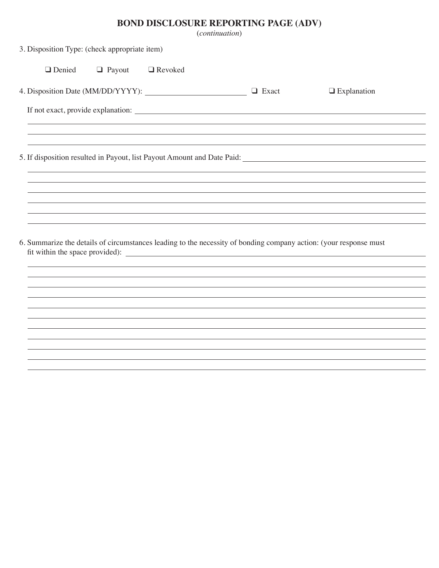# **BOND DISCLOSURE REPORTING PAGE (ADV)**

|  | ( <i>continuation</i> ) |  |
|--|-------------------------|--|

|          | 3. Disposition Type: (check appropriate item) |         |              |                                                                                                                   |  |
|----------|-----------------------------------------------|---------|--------------|-------------------------------------------------------------------------------------------------------------------|--|
| □ Denied | $\Box$ Payout                                 | Revoked |              |                                                                                                                   |  |
|          |                                               |         | $\Box$ Exact | $\Box$ Explanation                                                                                                |  |
|          |                                               |         |              |                                                                                                                   |  |
|          |                                               |         |              |                                                                                                                   |  |
|          |                                               |         |              |                                                                                                                   |  |
|          |                                               |         |              |                                                                                                                   |  |
|          |                                               |         |              |                                                                                                                   |  |
|          |                                               |         |              |                                                                                                                   |  |
|          |                                               |         |              | 6. Summarize the details of circumstances leading to the necessity of bonding company action: (your response must |  |
|          |                                               |         |              |                                                                                                                   |  |
|          |                                               |         |              |                                                                                                                   |  |
|          |                                               |         |              |                                                                                                                   |  |
|          |                                               |         |              |                                                                                                                   |  |
|          |                                               |         |              |                                                                                                                   |  |
|          |                                               |         |              |                                                                                                                   |  |
|          |                                               |         |              |                                                                                                                   |  |
|          |                                               |         |              |                                                                                                                   |  |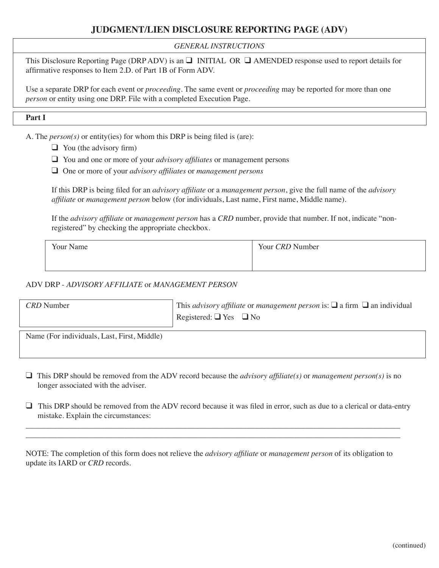#### *GENERAL INSTRUCTIONS*

This Disclosure Reporting Page (DRP ADV) is an ❑ INITIAL OR ❑ AMENDED response used to report details for affirmative responses to Item 2.D. of Part 1B of Form ADV.

Use a separate DRP for each event or *proceeding*. The same event or *proceeding* may be reported for more than one *person* or entity using one DRP. File with a completed Execution Page.

#### **Part I**

A. The *person(s)* or entity(ies) for whom this DRP is being filed is (are):

- $\Box$  You (the advisory firm)
- ❑ You and one or more of your *advisory affiliates* or management persons
- ❑ One or more of your *advisory affiliates* or *management persons*

 If this DRP is being filed for an *advisory affiliate* or a *management person*, give the full name of the *advisory affiliate* or *management person* below (for individuals, Last name, First name, Middle name).

If the *advisory affiliate* or *management person* has a *CRD* number, provide that number. If not, indicate "nonregistered" by checking the appropriate checkbox.

| Your Name | Your CRD Number |
|-----------|-----------------|
|           |                 |
|           |                 |

#### ADV DRP - *ADVISORY AFFILIATE* or *MANAGEMENT PERSON*

| <i>CRD</i> Number                           | This <i>advisory affiliate</i> or <i>management person</i> is: $\Box$ a firm $\Box$ an individual<br>Registered: $\Box$ Yes $\Box$ No |  |
|---------------------------------------------|---------------------------------------------------------------------------------------------------------------------------------------|--|
|                                             |                                                                                                                                       |  |
| Name (For individuals, Last, First, Middle) |                                                                                                                                       |  |

❑ This DRP should be removed from the ADV record because the *advisory affiliate(s)* or *management person(s)* is no longer associated with the adviser.

□ This DRP should be removed from the ADV record because it was filed in error, such as due to a clerical or data-entry mistake. Explain the circumstances:

\_\_\_\_\_\_\_\_\_\_\_\_\_\_\_\_\_\_\_\_\_\_\_\_\_\_\_\_\_\_\_\_\_\_\_\_\_\_\_\_\_\_\_\_\_\_\_\_\_\_\_\_\_\_\_\_\_\_\_\_\_\_\_\_\_\_\_\_\_\_\_\_\_\_\_\_\_\_\_\_\_\_\_\_\_\_\_\_\_\_\_\_\_\_\_ \_\_\_\_\_\_\_\_\_\_\_\_\_\_\_\_\_\_\_\_\_\_\_\_\_\_\_\_\_\_\_\_\_\_\_\_\_\_\_\_\_\_\_\_\_\_\_\_\_\_\_\_\_\_\_\_\_\_\_\_\_\_\_\_\_\_\_\_\_\_\_\_\_\_\_\_\_\_\_\_\_\_\_\_\_\_\_\_\_\_\_\_\_\_\_

NOTE: The completion of this form does not relieve the *advisory affiliate* or *management person* of its obligation to update its IARD or *CRD* records.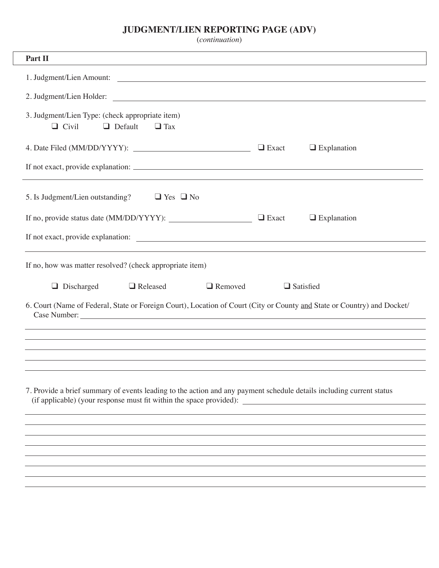# **JUDGMENT/LIEN REPORTING PAGE (ADV)**

(*continuation*)

| Part II                                                                                                                                                                                     |                  |                    |  |  |
|---------------------------------------------------------------------------------------------------------------------------------------------------------------------------------------------|------------------|--------------------|--|--|
|                                                                                                                                                                                             |                  |                    |  |  |
| 1. Judgment/Lien Amount:<br><u> 1989 - Johann Stoff, amerikansk politiker (d. 1989)</u>                                                                                                     |                  |                    |  |  |
| 2. Judgment/Lien Holder: 2. Judgment/Lien Holder:                                                                                                                                           |                  |                    |  |  |
| 3. Judgment/Lien Type: (check appropriate item)<br>$\Box$ Civil<br>$\Box$ Default<br>$\Box$ Tax                                                                                             |                  |                    |  |  |
|                                                                                                                                                                                             | $\Box$ Exact     | $\Box$ Explanation |  |  |
|                                                                                                                                                                                             |                  |                    |  |  |
| 5. Is Judgment/Lien outstanding?<br>$\Box$ Yes $\Box$ No                                                                                                                                    |                  |                    |  |  |
|                                                                                                                                                                                             | $\Box$ Exact     | $\Box$ Explanation |  |  |
|                                                                                                                                                                                             |                  |                    |  |  |
| If no, how was matter resolved? (check appropriate item)                                                                                                                                    |                  |                    |  |  |
| $\Box$ Removed<br>Released<br>$\Box$ Discharged                                                                                                                                             | $\Box$ Satisfied |                    |  |  |
| 6. Court (Name of Federal, State or Foreign Court), Location of Court (City or County and State or Country) and Docket/                                                                     |                  |                    |  |  |
|                                                                                                                                                                                             |                  |                    |  |  |
|                                                                                                                                                                                             |                  |                    |  |  |
|                                                                                                                                                                                             |                  |                    |  |  |
| 7. Provide a brief summary of events leading to the action and any payment schedule details including current status<br>(if applicable) (your response must fit within the space provided): |                  |                    |  |  |
|                                                                                                                                                                                             |                  |                    |  |  |
|                                                                                                                                                                                             |                  |                    |  |  |
|                                                                                                                                                                                             |                  |                    |  |  |
|                                                                                                                                                                                             |                  |                    |  |  |
|                                                                                                                                                                                             |                  |                    |  |  |
|                                                                                                                                                                                             |                  |                    |  |  |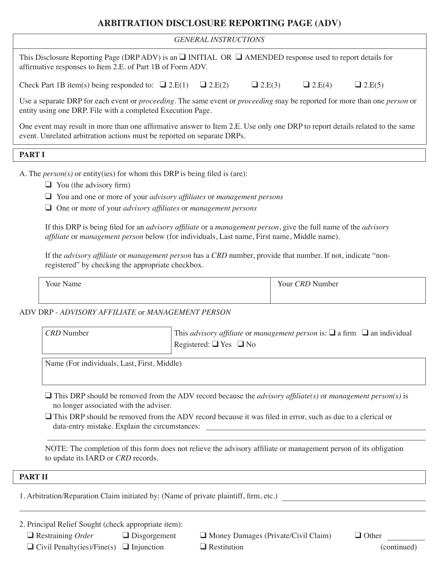## **ARBITRATION DISCLOSURE REPORTING PAGE (ADV)**

| This Disclosure Reporting Page (DRP ADV) is an $\square$ INITIAL OR $\square$ AMENDED response used to report details for |  |
|---------------------------------------------------------------------------------------------------------------------------|--|
| affirmative responses to Item 2.E. of Part 1B of Form ADV.                                                                |  |

Check Part 1B item(s) being responded to:  $\Box$  2.E(1)  $\Box$  2.E(2)  $\Box$  2.E(3)  $\Box$  2.E(4)  $\Box$  2.E(5)

Use a separate DRP for each event or *proceeding*. The same event or *proceeding* may be reported for more than one *person* or entity using one DRP. File with a completed Execution Page.

One event may result in more than one affirmative answer to Item 2.E. Use only one DRP to report details related to the same event. Unrelated arbitration actions must be reported on separate DRPs.

#### **PART I**

A. The *person(s)* or entity(ies) for whom this DRP is being filed is (are):

- ❑ You (the advisory firm)
- ❑ You and one or more of your *advisory affiliates* or *management persons*
- ❑ One or more of your *advisory affiliates* or *management persons*

 If this DRP is being filed for an *advisory affiliate* or a *management person*, give the full name of the *advisory affiliate* or *management person* below (for individuals, Last name, First name, Middle name).

If the *advisory affiliate* or *management person* has a *CRD* number, provide that number. If not, indicate "nonregistered" by checking the appropriate checkbox.

| $\mathbf{v}$<br>$\sqrt{O(11r)}$<br>the contract of the contract of the contract of the contract of the contract of the contract of the contract of | $\mathbf{v}$<br>ĸ<br>nber<br>$\alpha$ <sub>II</sub> |
|----------------------------------------------------------------------------------------------------------------------------------------------------|-----------------------------------------------------|
|                                                                                                                                                    |                                                     |

#### ADV DRP - *ADVISORY AFFILIATE* or *MANAGEMENT PERSON*

| <i>CRD</i> Number | This <i>advisory affiliate</i> or <i>management person</i> is: $\Box$ a firm $\Box$ an individual |  |  |
|-------------------|---------------------------------------------------------------------------------------------------|--|--|
|                   | Registered: $\Box$ Yes $\Box$ No                                                                  |  |  |

Name (For individuals, Last, First, Middle)

- ❑ This DRP should be removed from the ADV record because the *advisory affiliate(s)* or *management person(s)* is no longer associated with the adviser.
- ❑ This DRP should be removed from the ADV record because it was filed in error, such as due to a clerical or data-entry mistake. Explain the circumstances:

 NOTE: The completion of this form does not relieve the advisory affiliate or management person of its obligation to update its IARD or *CRD* records.

#### **PART II**

1. Arbitration/Reparation Claim initiated by: (Name of private plaintiff, firm, etc.)

2. Principal Relief Sought (check appropriate item):

 $\Box$  Civil Penalty(ies)/Fine(s)  $\Box$  Injunction  $\Box$  Restitution (continued)

❑ Restraining *Order* ❑ Disgorgement ❑ Money Damages (Private/Civil Claim) ❑ Other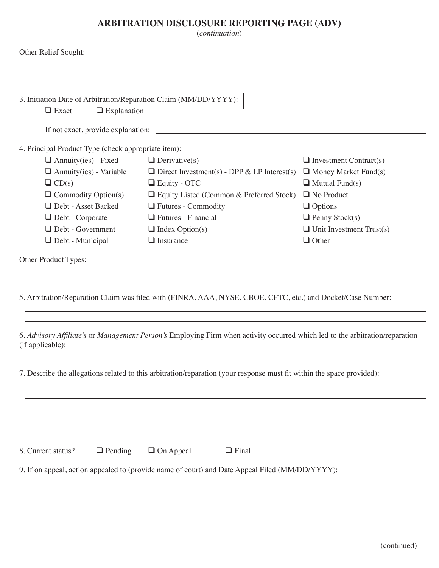# **ARBITRATION DISCLOSURE REPORTING PAGE (ADV)**

(*continuation*)

|                                                                                                        | Other Relief Sought:                                                                                                                             |                                 |
|--------------------------------------------------------------------------------------------------------|--------------------------------------------------------------------------------------------------------------------------------------------------|---------------------------------|
|                                                                                                        |                                                                                                                                                  |                                 |
| 3. Initiation Date of Arbitration/Reparation Claim (MM/DD/YYYY):<br>$\Box$ Explanation<br>$\Box$ Exact |                                                                                                                                                  |                                 |
|                                                                                                        |                                                                                                                                                  |                                 |
| 4. Principal Product Type (check appropriate item):                                                    |                                                                                                                                                  |                                 |
| $\Box$ Annuity(ies) - Fixed                                                                            | $\Box$ Derivative(s)                                                                                                                             | $\Box$ Investment Contract(s)   |
| $\Box$ Annuity(ies) - Variable                                                                         | $\Box$ Direct Investment(s) - DPP & LP Interest(s)                                                                                               | $\Box$ Money Market Fund(s)     |
| $\Box$ CD(s)                                                                                           | $\Box$ Equity - OTC                                                                                                                              | $\Box$ Mutual Fund(s)           |
| $\Box$ Commodity Option(s)                                                                             | □ Equity Listed (Common & Preferred Stock)                                                                                                       | $\Box$ No Product               |
| Debt - Asset Backed                                                                                    | $\Box$ Futures - Commodity                                                                                                                       | $\Box$ Options                  |
| Debt - Corporate                                                                                       | $\Box$ Futures - Financial                                                                                                                       | $\Box$ Penny Stock(s)           |
| $\Box$ Debt - Government                                                                               | $\Box$ Index Option(s)                                                                                                                           | $\Box$ Unit Investment Trust(s) |
| Debt - Municipal                                                                                       | $\Box$ Insurance                                                                                                                                 | $\Box$ Other                    |
|                                                                                                        |                                                                                                                                                  |                                 |
|                                                                                                        | Other Product Types:                                                                                                                             |                                 |
|                                                                                                        | 5. Arbitration/Reparation Claim was filed with (FINRA, AAA, NYSE, CBOE, CFTC, etc.) and Docket/Case Number:                                      |                                 |
|                                                                                                        | 6. Advisory Affiliate's or Management Person's Employing Firm when activity occurred which led to the arbitration/reparation<br>(if applicable): |                                 |
|                                                                                                        | 7. Describe the allegations related to this arbitration/reparation (your response must fit within the space provided):                           |                                 |
|                                                                                                        |                                                                                                                                                  |                                 |
|                                                                                                        |                                                                                                                                                  |                                 |
|                                                                                                        |                                                                                                                                                  |                                 |
| 8. Current status?<br>$\Box$ Pending                                                                   | $\Box$ On Appeal<br>$\Box$ Final                                                                                                                 |                                 |
|                                                                                                        | 9. If on appeal, action appealed to (provide name of court) and Date Appeal Filed (MM/DD/YYYY):                                                  |                                 |
|                                                                                                        |                                                                                                                                                  |                                 |
|                                                                                                        |                                                                                                                                                  |                                 |
|                                                                                                        |                                                                                                                                                  |                                 |
|                                                                                                        |                                                                                                                                                  |                                 |